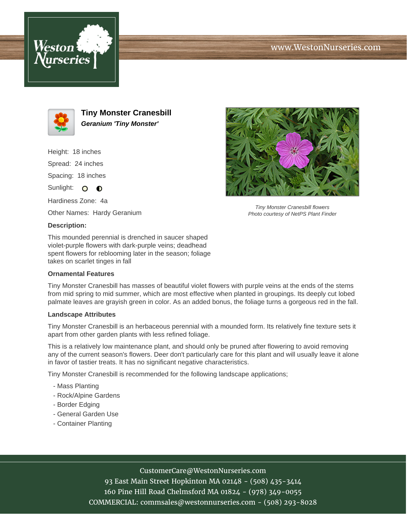





**Tiny Monster Cranesbill Geranium 'Tiny Monster'**

Height: 18 inches Spread: 24 inches Spacing: 18 inches

Sunlight: O **O** 

Hardiness Zone: 4a

Other Names: Hardy Geranium

## **Description:**

This mounded perennial is drenched in saucer shaped violet-purple flowers with dark-purple veins; deadhead spent flowers for reblooming later in the season; foliage takes on scarlet tinges in fall

## **Ornamental Features**

Tiny Monster Cranesbill has masses of beautiful violet flowers with purple veins at the ends of the stems from mid spring to mid summer, which are most effective when planted in groupings. Its deeply cut lobed palmate leaves are grayish green in color. As an added bonus, the foliage turns a gorgeous red in the fall.

## **Landscape Attributes**

Tiny Monster Cranesbill is an herbaceous perennial with a mounded form. Its relatively fine texture sets it apart from other garden plants with less refined foliage.

This is a relatively low maintenance plant, and should only be pruned after flowering to avoid removing any of the current season's flowers. Deer don't particularly care for this plant and will usually leave it alone in favor of tastier treats. It has no significant negative characteristics.

Tiny Monster Cranesbill is recommended for the following landscape applications;

- Mass Planting
- Rock/Alpine Gardens
- Border Edging
- General Garden Use
- Container Planting



93 East Main Street Hopkinton MA 02148 - (508) 435-3414 160 Pine Hill Road Chelmsford MA 01824 - (978) 349-0055 COMMERCIAL: commsales@westonnurseries.com - (508) 293-8028



Tiny Monster Cranesbill flowers Photo courtesy of NetPS Plant Finder